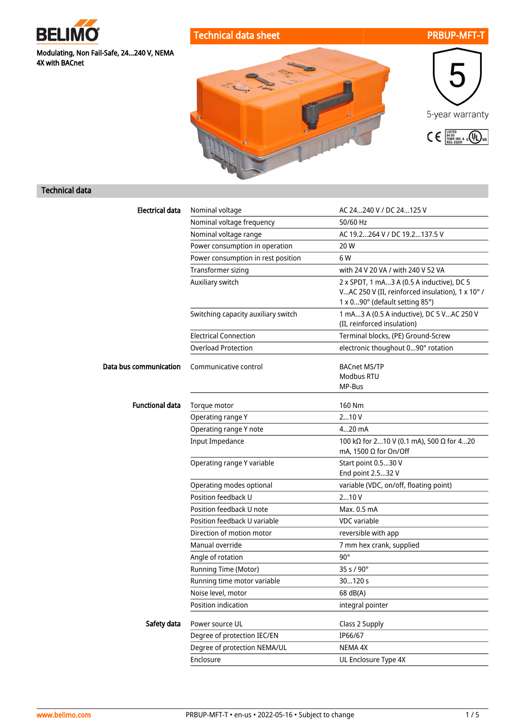

Modulating, Non Fail-Safe, 24...240 V, NEMA 4X with BACnet





## Technical data

| <b>Electrical data</b> | Nominal voltage                     | AC 24240 V / DC 24125 V                                                                                                         |
|------------------------|-------------------------------------|---------------------------------------------------------------------------------------------------------------------------------|
|                        | Nominal voltage frequency           | 50/60 Hz                                                                                                                        |
|                        | Nominal voltage range               | AC 19.2264 V / DC 19.2137.5 V                                                                                                   |
|                        | Power consumption in operation      | 20 W                                                                                                                            |
|                        | Power consumption in rest position  | 6 W                                                                                                                             |
|                        | Transformer sizing                  | with 24 V 20 VA / with 240 V 52 VA                                                                                              |
|                        | Auxiliary switch                    | 2 x SPDT, 1 mA3 A (0.5 A inductive), DC 5<br>VAC 250 V (II, reinforced insulation), 1 x 10° /<br>1 x 090° (default setting 85°) |
|                        | Switching capacity auxiliary switch | 1 mA3 A (0.5 A inductive), DC 5 VAC 250 V<br>(II, reinforced insulation)                                                        |
|                        | <b>Electrical Connection</b>        | Terminal blocks, (PE) Ground-Screw                                                                                              |
|                        | <b>Overload Protection</b>          | electronic thoughout 090° rotation                                                                                              |
| Data bus communication | Communicative control               | <b>BACnet MS/TP</b><br><b>Modbus RTU</b><br>MP-Bus                                                                              |
| <b>Functional data</b> | Torque motor                        | 160 Nm                                                                                                                          |
|                        | Operating range Y                   | 210V                                                                                                                            |
|                        | Operating range Y note              | 420 mA                                                                                                                          |
|                        | <b>Input Impedance</b>              | 100 kΩ for 210 V (0.1 mA), 500 Ω for 420<br>mA, 1500 $\Omega$ for On/Off                                                        |
|                        | Operating range Y variable          | Start point 0.530 V<br>End point 2.532 V                                                                                        |
|                        | Operating modes optional            | variable (VDC, on/off, floating point)                                                                                          |
|                        | Position feedback U                 | 210V                                                                                                                            |
|                        | Position feedback U note            | Max. 0.5 mA                                                                                                                     |
|                        | Position feedback U variable        | <b>VDC</b> variable                                                                                                             |
|                        | Direction of motion motor           | reversible with app                                                                                                             |
|                        | Manual override                     | 7 mm hex crank, supplied                                                                                                        |
|                        | Angle of rotation                   | $90^\circ$                                                                                                                      |
|                        | <b>Running Time (Motor)</b>         | 35 s / 90°                                                                                                                      |
|                        | Running time motor variable         | 30120 s                                                                                                                         |
|                        | Noise level, motor                  | 68 dB(A)                                                                                                                        |
|                        | Position indication                 | integral pointer                                                                                                                |
| Safety data            | Power source UL                     | Class 2 Supply                                                                                                                  |
|                        | Degree of protection IEC/EN         | IP66/67                                                                                                                         |
|                        | Degree of protection NEMA/UL        | NEMA 4X                                                                                                                         |
|                        | Enclosure                           | UL Enclosure Type 4X                                                                                                            |
|                        |                                     |                                                                                                                                 |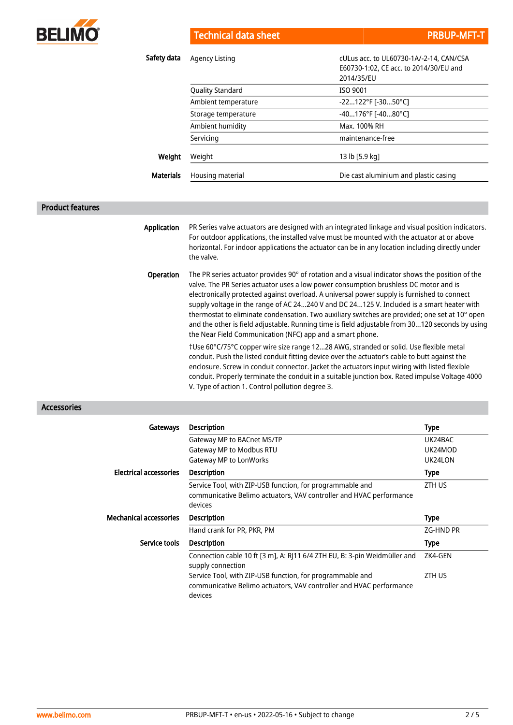

Technical data sheet **PRBUP-MFT-T** 

| Safety data      | Agency Listing          | cULus acc. to UL60730-1A/-2-14, CAN/CSA<br>E60730-1:02, CE acc. to 2014/30/EU and<br>2014/35/EU |
|------------------|-------------------------|-------------------------------------------------------------------------------------------------|
|                  | <b>Quality Standard</b> | ISO 9001                                                                                        |
|                  | Ambient temperature     | $-22122^{\circ}$ F [-3050 $^{\circ}$ C]                                                         |
|                  | Storage temperature     | -40176°F [-4080°C]                                                                              |
|                  | Ambient humidity        | Max. 100% RH                                                                                    |
|                  | Servicing               | maintenance-free                                                                                |
| Weight           | Weight                  | 13 lb [5.9 kg]                                                                                  |
| <b>Materials</b> | Housing material        | Die cast aluminium and plastic casing                                                           |

## Product features

| Application      | PR Series valve actuators are designed with an integrated linkage and visual position indicators.<br>For outdoor applications, the installed valve must be mounted with the actuator at or above<br>horizontal. For indoor applications the actuator can be in any location including directly under<br>the valve.                                                                                                                                                                                                                                                                                                                                     |
|------------------|--------------------------------------------------------------------------------------------------------------------------------------------------------------------------------------------------------------------------------------------------------------------------------------------------------------------------------------------------------------------------------------------------------------------------------------------------------------------------------------------------------------------------------------------------------------------------------------------------------------------------------------------------------|
| <b>Operation</b> | The PR series actuator provides 90° of rotation and a visual indicator shows the position of the<br>valve. The PR Series actuator uses a low power consumption brushless DC motor and is<br>electronically protected against overload. A universal power supply is furnished to connect<br>supply voltage in the range of AC 24240 V and DC 24125 V. Included is a smart heater with<br>thermostat to eliminate condensation. Two auxiliary switches are provided; one set at 10° open<br>and the other is field adjustable. Running time is field adjustable from 30120 seconds by using<br>the Near Field Communication (NFC) app and a smart phone. |
|                  | †Use 60°C/75°C copper wire size range 1228 AWG, stranded or solid. Use flexible metal<br>conduit. Push the listed conduit fitting device over the actuator's cable to butt against the<br>enclosure. Screw in conduit connector. Jacket the actuators input wiring with listed flexible<br>conduit. Properly terminate the conduit in a suitable junction box. Rated impulse Voltage 4000                                                                                                                                                                                                                                                              |

Accessories

| Gateways                      | Description                                                                                                                                 | <b>Type</b>      |
|-------------------------------|---------------------------------------------------------------------------------------------------------------------------------------------|------------------|
|                               | Gateway MP to BACnet MS/TP                                                                                                                  | UK24BAC          |
|                               | Gateway MP to Modbus RTU                                                                                                                    | UK24MOD          |
|                               | Gateway MP to LonWorks                                                                                                                      | UK24LON          |
| Electrical accessories        | Description                                                                                                                                 | <b>Type</b>      |
|                               | Service Tool, with ZIP-USB function, for programmable and<br>communicative Belimo actuators, VAV controller and HVAC performance<br>devices | ZTH US           |
| <b>Mechanical accessories</b> | Description                                                                                                                                 | <b>Type</b>      |
|                               | Hand crank for PR, PKR, PM                                                                                                                  | <b>ZG-HND PR</b> |
| Service tools                 | <b>Description</b>                                                                                                                          | <b>Type</b>      |
|                               | Connection cable 10 ft [3 m], A: RJ11 6/4 ZTH EU, B: 3-pin Weidmüller and<br>supply connection                                              | ZK4-GEN          |
|                               | Service Tool, with ZIP-USB function, for programmable and<br>communicative Belimo actuators, VAV controller and HVAC performance<br>devices | ZTH US           |

V. Type of action 1. Control pollution degree 3.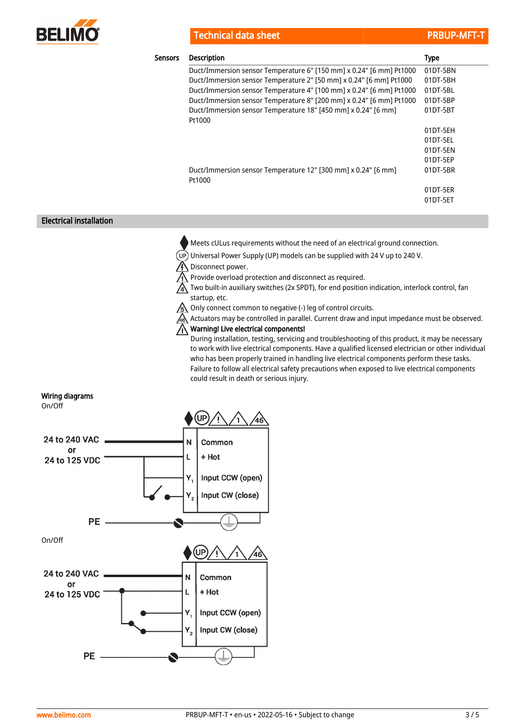

Technical data sheet **PRBUP-MFT-TECHNICAL SHEET**-TECHNICAL PRBUP-MFT-TECHNICAL PRBUP-MF

| Sensors | <b>Description</b>                                                      | <b>Type</b> |
|---------|-------------------------------------------------------------------------|-------------|
|         | Duct/Immersion sensor Temperature 6" [150 mm] x 0.24" [6 mm] Pt1000     | 01DT-5BN    |
|         | Duct/Immersion sensor Temperature 2" [50 mm] x 0.24" [6 mm] Pt1000      | 01DT-5BH    |
|         | Duct/Immersion sensor Temperature 4" [100 mm] x 0.24" [6 mm] Pt1000     | 01DT-5BL    |
|         | Duct/Immersion sensor Temperature 8" [200 mm] x 0.24" [6 mm] Pt1000     | 01DT-5BP    |
|         | Duct/Immersion sensor Temperature 18" [450 mm] x 0.24" [6 mm]<br>Pt1000 | 01DT-5BT    |
|         |                                                                         | 01DT-5EH    |
|         |                                                                         | 01DT-5EL    |
|         |                                                                         | 01DT-5EN    |
|         |                                                                         | 01DT-5EP    |
|         | Duct/Immersion sensor Temperature 12" [300 mm] x 0.24" [6 mm]<br>Pt1000 | 01DT-5BR    |
|         |                                                                         | 01DT-5ER    |
|         |                                                                         | 01DT-5ET    |
|         |                                                                         |             |

Electrical installation

Meets cULus requirements without the need of an electrical ground connection.

Universal Power Supply (UP) models can be supplied with 24 V up to 240 V.

**A** Disconnect power.

A Provide overload protection and disconnect as required.

 $\overrightarrow{A}$  Two built-in auxiliary switches (2x SPDT), for end position indication, interlock control, fan startup, etc.

 $\sqrt{\frac{1}{2}}$  Only connect common to negative (-) leg of control circuits.

A Actuators may be controlled in parallel. Current draw and input impedance must be observed.



During installation, testing, servicing and troubleshooting of this product, it may be necessary to work with live electrical components. Have a qualified licensed electrician or other individual who has been properly trained in handling live electrical components perform these tasks. Failure to follow all electrical safety precautions when exposed to live electrical components could result in death or serious injury.

## Wiring diagrams

On/Off

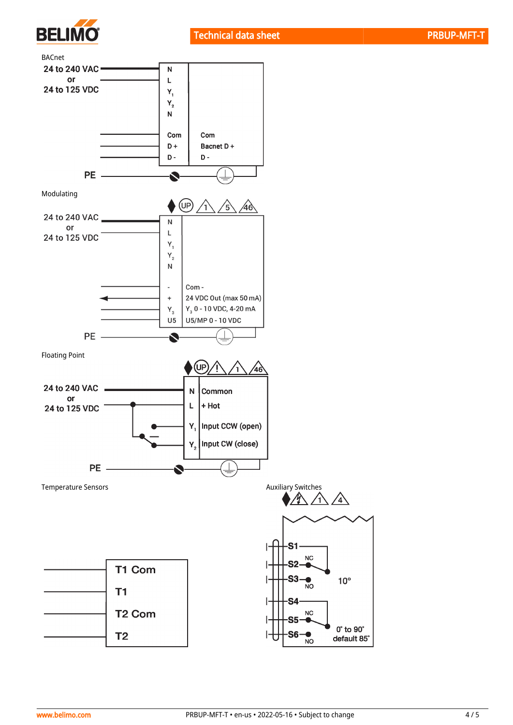